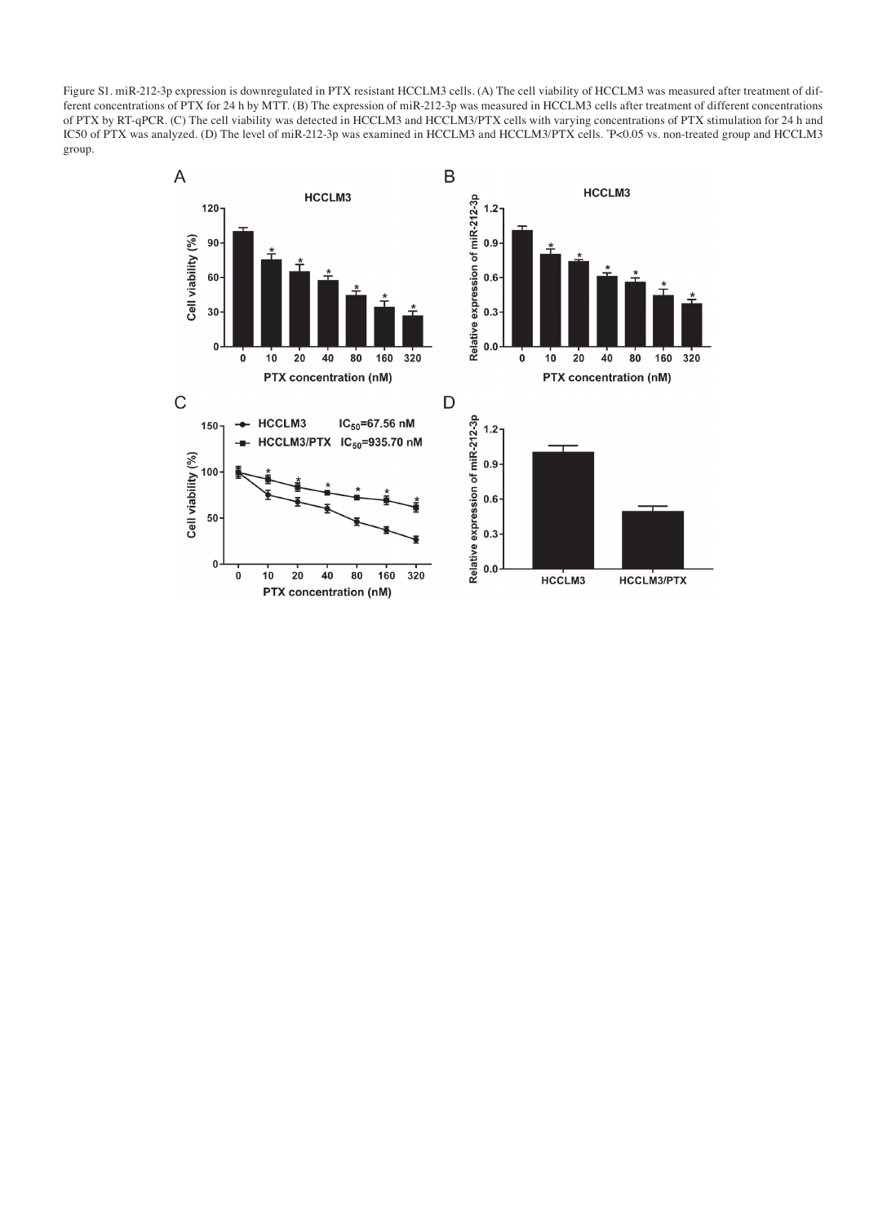Figure S1. miR-212-3p expression is downregulated in PTX resistant HCCLM3 cells. (A) The cell viability of HCCLM3 was measured after treatment of different concentrations of PTX for 24 h by MTT. (B) The expression of miR‑212‑3p was measured in HCCLM3 cells after treatment of different concentrations of PTX by RT‑qPCR. (C) The cell viability was detected in HCCLM3 and HCCLM3/PTX cells with varying concentrations of PTX stimulation for 24 h and IC50 of PTX was analyzed. (D) The level of miR‑212‑3p was examined in HCCLM3 and HCCLM3/PTX cells. \* P<0.05 vs. non‑treated group and HCCLM3 group.

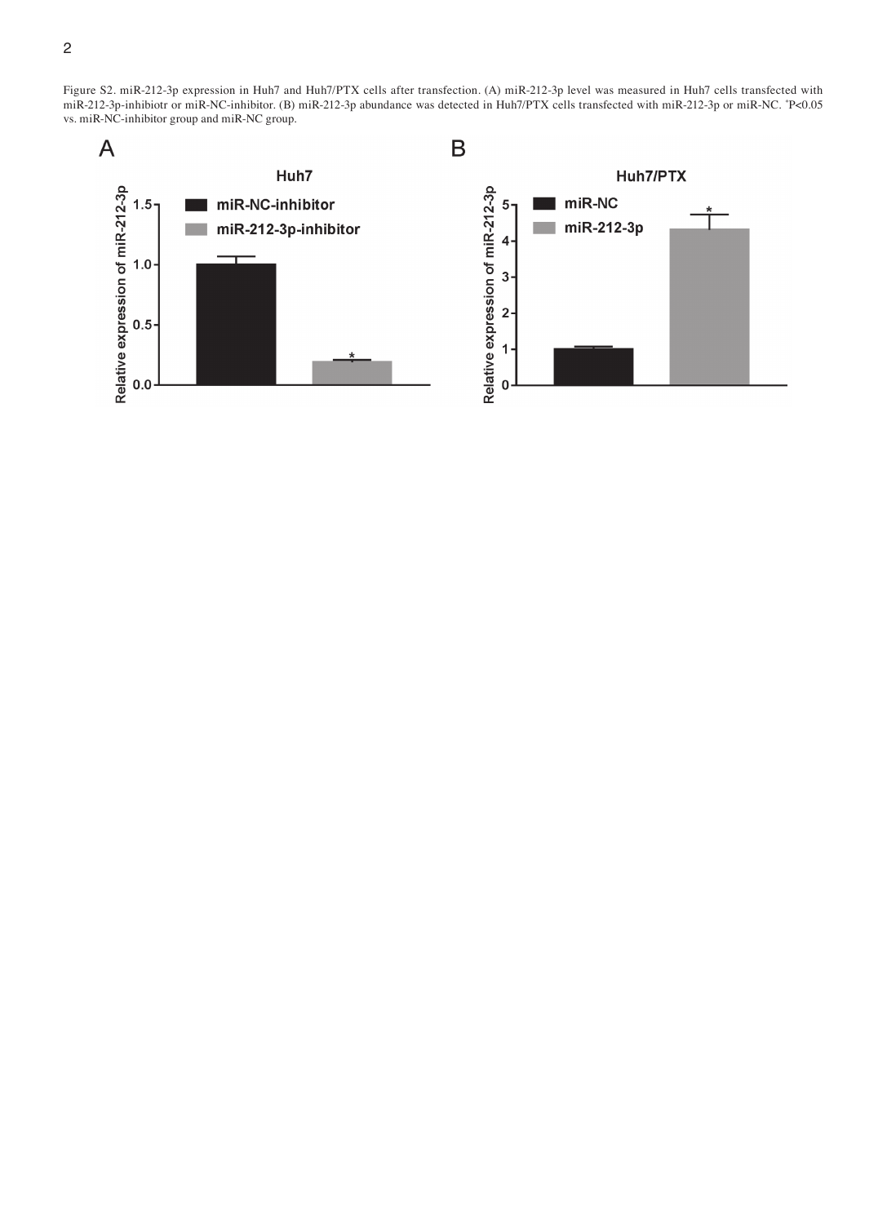Figure S2. miR‑212‑3p expression in Huh7 and Huh7/PTX cells after transfection. (A) miR‑212‑3p level was measured in Huh7 cells transfected with miR‑212‑3p‑inhibiotr or miR‑NC‑inhibitor. (B) miR‑212‑3p abundance was detected in Huh7/PTX cells transfected with miR‑212‑3p or miR‑NC. \* P<0.05 vs. miR-NC-inhibitor group and miR-NC group.